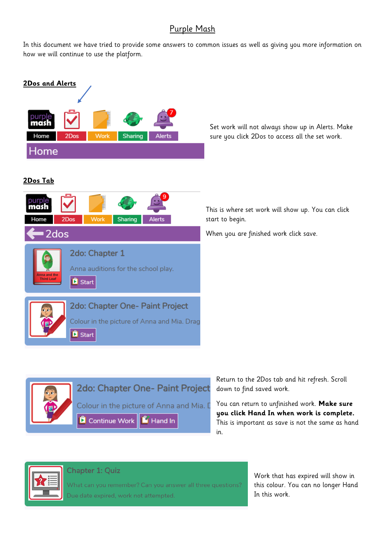## Purple Mash

In this document we have tried to provide some answers to common issues as well as giving you more information on how we will continue to use the platform.



Set work will not always show up in Alerts. Make sure you click 2Dos to access all the set work.

This is where set work will show up. You can click start to begin.

When you are finished work click save.



**you click Hand In when work is complete.** This is important as save is not the same as hand in.



Chapter 1: Quiz

What can you remember? Can you answer all three questions? .<br>Due date expired, work not attempted

Work that has expired will show in this colour. You can no longer Hand In this work.